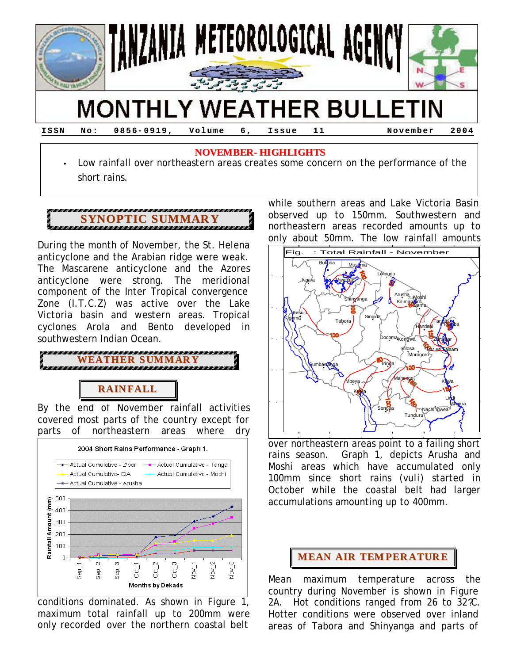

#### **ISSN No: 0856- 0919, Volume 6, Issue 11 November 2004**

### **NOVEMBER- HIGHLIGHTS**

• Low rainfall over northeastern areas creates some concern on the performance of the short rains.

# **SYNOPTIC SUMMARY**

During the month of November, the St. Helena anticyclone and the Arabian ridge were weak. The Mascarene anticyclone and the Azores anticyclone were strong. The meridional component of the Inter Tropical convergence Zone (I.T.C.Z) was active over the Lake Victoria basin and western areas. Tropical cyclones Arola and Bento developed in southwestern Indian Ocean.



# **RAIN FALL**

By the end of November rainfall activities covered most parts of the country except for parts of northeastern areas where dry



conditions dominated. As shown in Figure 1, maximum total rainfall up to 200mm were only recorded over the northern coastal belt

while southern areas and Lake Victoria Basin observed up to 150mm. Southwestern and northeastern areas recorded amounts up to only about 50mm. The low rainfall amounts



Lettern areas point to a failing short over northeastern areas point to a failing short rains season. Graph 1, depicts Arusha and Moshi areas which have accumulated only 100mm since short rains (*vuli*) started in October while the coastal belt had larger accumulations amounting up to 400mm.

# **MEAN AIR TEM PER ATUR E**

Mean maximum temperature across the country during November is shown in Figure 2A. Hot conditions ranged from 26 to 32 °C. Hotter conditions were observed over inland areas of Tabora and Shinyanga and parts of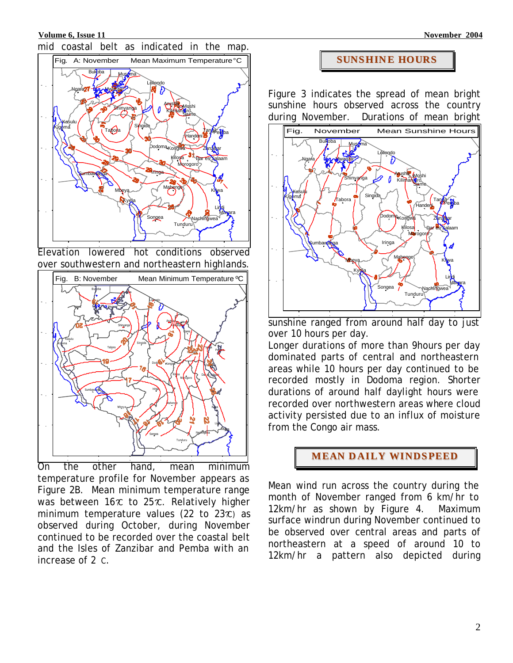**Volume 6, Issue 11 November 2004 November 2004** 



Elevation lowered hot conditions observed over southwestern and northeastern highlands.



On the other hand, mean minimum temperature profile for November appears as Figure 2B. Mean minimum temperature range was between  $16\hat{x}$  to  $25\hat{x}$ . Relatively higher minimum temperature values (22 to  $23x$ ) as observed during October, during November continued to be recorded over the coastal belt and the Isles of Zanzibar and Pemba with an increase of 2 C.

# **SUNSHIN E HOURS**

Figure 3 indicates the spread of mean bright sunshine hours observed across the country during November. Durations of mean bright



Letter in the ranged from around half day to just over 10 hours per day.

Longer durations of more than 9hours per day dominated parts of central and northeastern areas while 10 hours per day continued to be recorded mostly in Dodoma region. Shorter durations of around half daylight hours were recorded over northwestern areas where cloud activity persisted due to an influx of moisture from the Congo air mass.

**MEAN D AILY WINDSPEED**

Mean wind run across the country during the month of November ranged from 6 km/hr to 12km/hr as shown by Figure 4. Maximum surface windrun during November continued to be observed over central areas and parts of northeastern at a speed of around 10 to 12km/hr a pattern also depicted during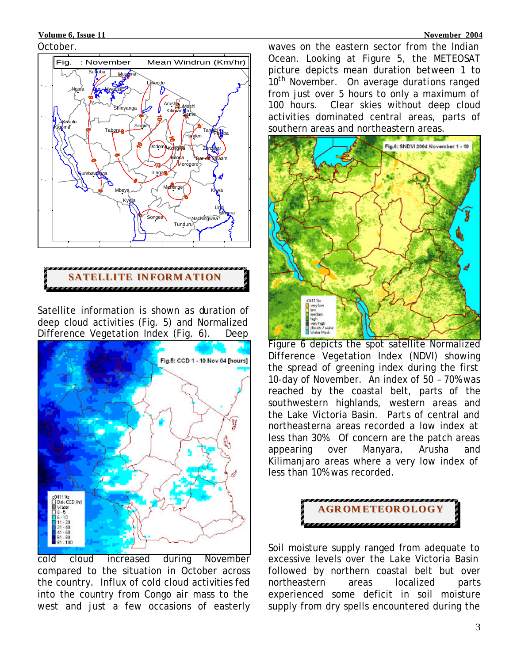### **Volume 6, Issue 11 November 2004 November 2004**

#### October.



# **SATELLITE IN FORM ATION**

Satellite information is shown as duration of deep cloud activities (Fig. 5) and Normalized Difference Vegetation Index (Fig. 6). Deep



cold cloud increased during November compared to the situation in October across the country. Influx of cold cloud activities fed into the country from Congo air mass to the west and just a few occasions of easterly

waves on the eastern sector from the Indian Ocean. Looking at Figure 5, the METEOSAT picture depicts mean duration between 1 to 10<sup>th</sup> November. On average durations ranged from just over 5 hours to only a maximum of 100 hours. Clear skies without deep cloud activities dominated central areas, parts of southern areas and northeastern areas.



Figure 6 depicts the spot satellite Normalized Difference Vegetation Index (NDVI) showing the spread of greening index during the first 10-day of November. An index of 50 - 70% was reached by the coastal belt, parts of the southwestern highlands, western areas and the Lake Victoria Basin. Parts of central and northeasterna areas recorded a low index at less than 30%. Of concern are the patch areas appearing over Manyara, Arusha and Kilimanjaro areas where a very low index of less than 10% was recorded.



Soil moisture supply ranged from adequate to excessive levels over the Lake Victoria Basin followed by northern coastal belt but over northeastern areas localized parts experienced some deficit in soil moisture supply from dry spells encountered during the